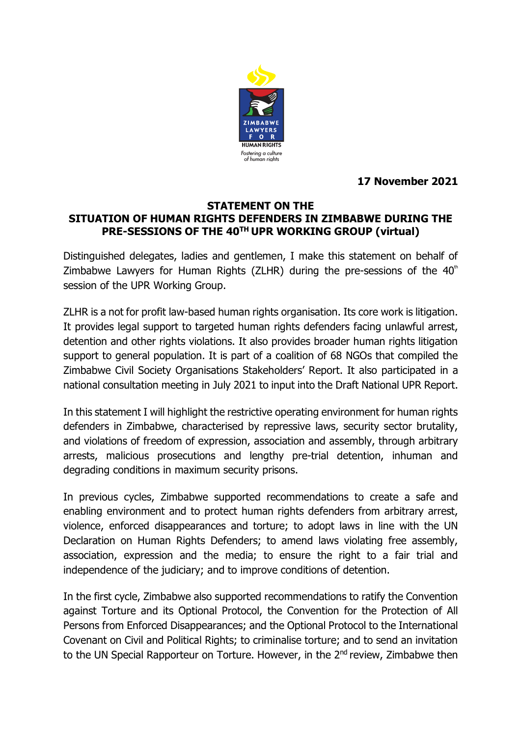

**17 November 2021**

## **STATEMENT ON THE SITUATION OF HUMAN RIGHTS DEFENDERS IN ZIMBABWE DURING THE PRE-SESSIONS OF THE 40TH UPR WORKING GROUP (virtual)**

Distinguished delegates, ladies and gentlemen, I make this statement on behalf of Zimbabwe Lawyers for Human Rights (ZLHR) during the pre-sessions of the  $40<sup>th</sup>$ session of the UPR Working Group.

ZLHR is a not for profit law-based human rights organisation. Its core work is litigation. It provides legal support to targeted human rights defenders facing unlawful arrest, detention and other rights violations. It also provides broader human rights litigation support to general population. It is part of a coalition of 68 NGOs that compiled the Zimbabwe Civil Society Organisations Stakeholders' Report. It also participated in a national consultation meeting in July 2021 to input into the Draft National UPR Report.

In this statement I will highlight the restrictive operating environment for human rights defenders in Zimbabwe, characterised by repressive laws, security sector brutality, and violations of freedom of expression, association and assembly, through arbitrary arrests, malicious prosecutions and lengthy pre-trial detention, inhuman and degrading conditions in maximum security prisons.

In previous cycles, Zimbabwe supported recommendations to create a safe and enabling environment and to protect human rights defenders from arbitrary arrest, violence, enforced disappearances and torture; to adopt laws in line with the UN Declaration on Human Rights Defenders; to amend laws violating free assembly, association, expression and the media; to ensure the right to a fair trial and independence of the judiciary; and to improve conditions of detention.

In the first cycle, Zimbabwe also supported recommendations to ratify the Convention against Torture and its Optional Protocol, the Convention for the Protection of All Persons from Enforced Disappearances; and the Optional Protocol to the International Covenant on Civil and Political Rights; to criminalise torture; and to send an invitation to the UN Special Rapporteur on Torture. However, in the 2<sup>nd</sup> review, Zimbabwe then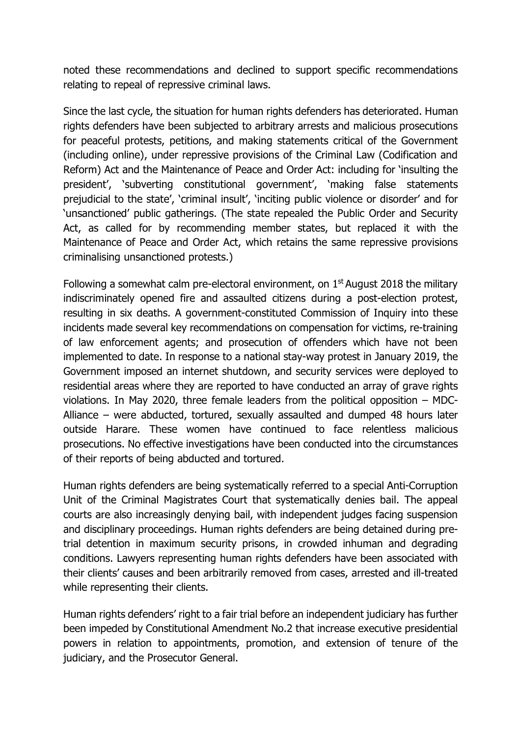noted these recommendations and declined to support specific recommendations relating to repeal of repressive criminal laws.

Since the last cycle, the situation for human rights defenders has deteriorated. Human rights defenders have been subjected to arbitrary arrests and malicious prosecutions for peaceful protests, petitions, and making statements critical of the Government (including online), under repressive provisions of the Criminal Law (Codification and Reform) Act and the Maintenance of Peace and Order Act: including for 'insulting the president', 'subverting constitutional government', 'making false statements prejudicial to the state', 'criminal insult', 'inciting public violence or disorder' and for 'unsanctioned' public gatherings. (The state repealed the Public Order and Security Act, as called for by recommending member states, but replaced it with the Maintenance of Peace and Order Act, which retains the same repressive provisions criminalising unsanctioned protests.)

Following a somewhat calm pre-electoral environment, on 1st August 2018 the military indiscriminately opened fire and assaulted citizens during a post-election protest, resulting in six deaths. A government-constituted Commission of Inquiry into these incidents made several key recommendations on compensation for victims, re-training of law enforcement agents; and prosecution of offenders which have not been implemented to date. In response to a national stay-way protest in January 2019, the Government imposed an internet shutdown, and security services were deployed to residential areas where they are reported to have conducted an array of grave rights violations. In May 2020, three female leaders from the political opposition – MDC-Alliance – were abducted, tortured, sexually assaulted and dumped 48 hours later outside Harare. These women have continued to face relentless malicious prosecutions. No effective investigations have been conducted into the circumstances of their reports of being abducted and tortured.

Human rights defenders are being systematically referred to a special Anti-Corruption Unit of the Criminal Magistrates Court that systematically denies bail. The appeal courts are also increasingly denying bail, with independent judges facing suspension and disciplinary proceedings. Human rights defenders are being detained during pretrial detention in maximum security prisons, in crowded inhuman and degrading conditions. Lawyers representing human rights defenders have been associated with their clients' causes and been arbitrarily removed from cases, arrested and ill-treated while representing their clients.

Human rights defenders' right to a fair trial before an independent judiciary has further been impeded by Constitutional Amendment No.2 that increase executive presidential powers in relation to appointments, promotion, and extension of tenure of the judiciary, and the Prosecutor General.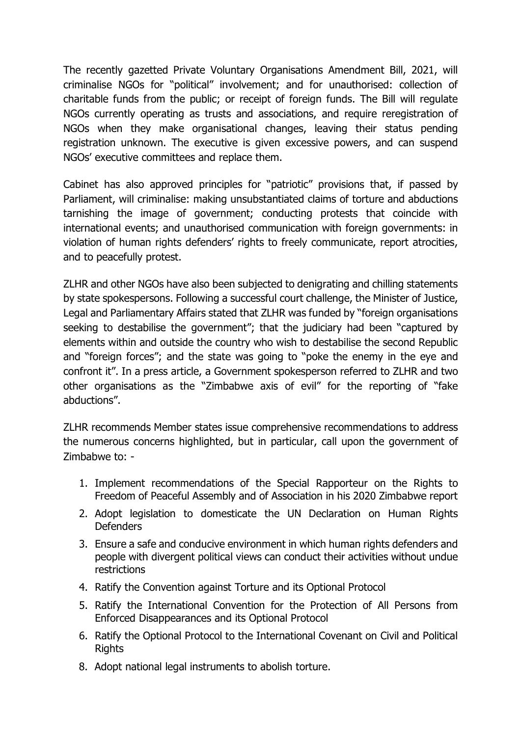The recently gazetted Private Voluntary Organisations Amendment Bill, 2021, will criminalise NGOs for "political" involvement; and for unauthorised: collection of charitable funds from the public; or receipt of foreign funds. The Bill will regulate NGOs currently operating as trusts and associations, and require reregistration of NGOs when they make organisational changes, leaving their status pending registration unknown. The executive is given excessive powers, and can suspend NGOs' executive committees and replace them.

Cabinet has also approved principles for "patriotic" provisions that, if passed by Parliament, will criminalise: making unsubstantiated claims of torture and abductions tarnishing the image of government; conducting protests that coincide with international events; and unauthorised communication with foreign governments: in violation of human rights defenders' rights to freely communicate, report atrocities, and to peacefully protest.

ZLHR and other NGOs have also been subjected to denigrating and chilling statements by state spokespersons. Following a successful court challenge, the Minister of Justice, Legal and Parliamentary Affairs stated that ZLHR was funded by "foreign organisations seeking to destabilise the government"; that the judiciary had been "captured by elements within and outside the country who wish to destabilise the second Republic and "foreign forces"; and the state was going to "poke the enemy in the eye and confront it". In a press article, a Government spokesperson referred to ZLHR and two other organisations as the "Zimbabwe axis of evil" for the reporting of "fake abductions".

ZLHR recommends Member states issue comprehensive recommendations to address the numerous concerns highlighted, but in particular, call upon the government of Zimbabwe to: -

- 1. Implement recommendations of the Special Rapporteur on the Rights to Freedom of Peaceful Assembly and of Association in his 2020 Zimbabwe report
- 2. Adopt legislation to domesticate the UN Declaration on Human Rights **Defenders**
- 3. Ensure a safe and conducive environment in which human rights defenders and people with divergent political views can conduct their activities without undue restrictions
- 4. Ratify the Convention against Torture and its Optional Protocol
- 5. Ratify the International Convention for the Protection of All Persons from Enforced Disappearances and its Optional Protocol
- 6. Ratify the Optional Protocol to the International Covenant on Civil and Political **Rights**
- 8. Adopt national legal instruments to abolish torture.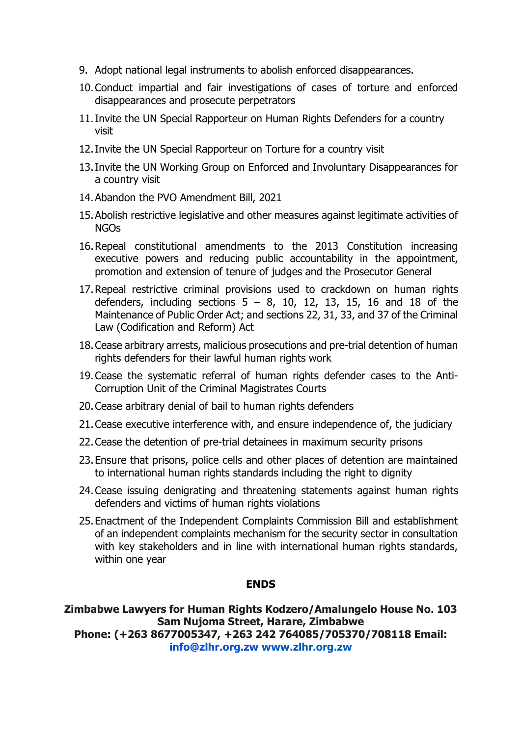- 9. Adopt national legal instruments to abolish enforced disappearances.
- 10.Conduct impartial and fair investigations of cases of torture and enforced disappearances and prosecute perpetrators
- 11.Invite the UN Special Rapporteur on Human Rights Defenders for a country visit
- 12.Invite the UN Special Rapporteur on Torture for a country visit
- 13.Invite the UN Working Group on Enforced and Involuntary Disappearances for a country visit
- 14.Abandon the PVO Amendment Bill, 2021
- 15.Abolish restrictive legislative and other measures against legitimate activities of NGOs
- 16.Repeal constitutional amendments to the 2013 Constitution increasing executive powers and reducing public accountability in the appointment, promotion and extension of tenure of judges and the Prosecutor General
- 17.Repeal restrictive criminal provisions used to crackdown on human rights defenders, including sections  $5 - 8$ , 10, 12, 13, 15, 16 and 18 of the Maintenance of Public Order Act; and sections 22, 31, 33, and 37 of the Criminal Law (Codification and Reform) Act
- 18.Cease arbitrary arrests, malicious prosecutions and pre-trial detention of human rights defenders for their lawful human rights work
- 19.Cease the systematic referral of human rights defender cases to the Anti-Corruption Unit of the Criminal Magistrates Courts
- 20.Cease arbitrary denial of bail to human rights defenders
- 21.Cease executive interference with, and ensure independence of, the judiciary
- 22.Cease the detention of pre-trial detainees in maximum security prisons
- 23.Ensure that prisons, police cells and other places of detention are maintained to international human rights standards including the right to dignity
- 24.Cease issuing denigrating and threatening statements against human rights defenders and victims of human rights violations
- 25.Enactment of the Independent Complaints Commission Bill and establishment of an independent complaints mechanism for the security sector in consultation with key stakeholders and in line with international human rights standards, within one year

## **ENDS**

**Zimbabwe Lawyers for Human Rights Kodzero/Amalungelo House No. 103 Sam Nujoma Street, Harare, Zimbabwe Phone: (+263 8677005347, +263 242 764085/705370/708118 Email: info@zlhr.org.zw www.zlhr.org.zw**